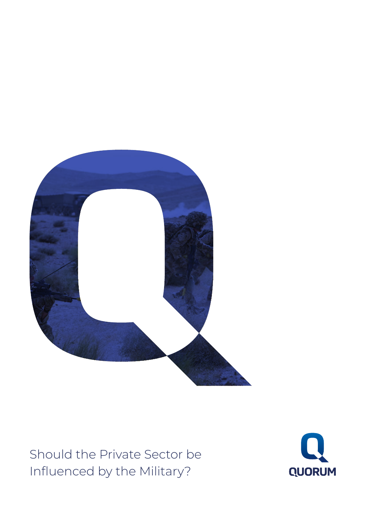

Should the Private Sector be Influenced by the Military?

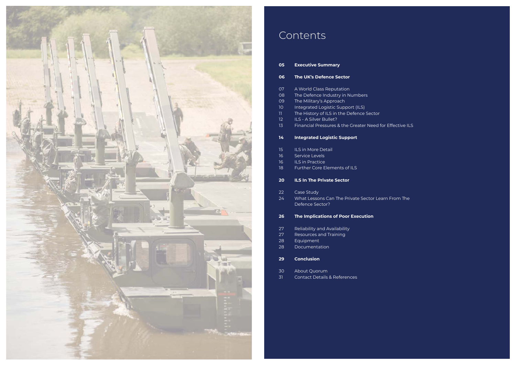| 05                      | <b>Executive Summary</b>                       |
|-------------------------|------------------------------------------------|
| 06                      | <b>The UK's Defence Sector</b>                 |
| 07                      | A World Class Reputation                       |
| 08                      | The Defence Industry in Numbers                |
| 09                      | The Military's Approach                        |
| 10 <sup>°</sup>         | Integrated Logistic Support (ILS)              |
| $\overline{\mathbf{1}}$ | The History of ILS in the Defence Sector       |
| 12                      | ILS - A Silver Bullet?                         |
| 13                      | Financial Pressures & the Greater Need for Eff |
| 14                      | <b>Integrated Logistic Support</b>             |
| 15                      | <b>ILS in More Detail</b>                      |
| 16                      | Service Levels                                 |
| 16                      | <b>ILS in Practice</b>                         |
| 18                      | Further Core Elements of ILS                   |
|                         |                                                |
| 20                      | <b>ILS In The Private Sector</b>               |
| 22                      | Case Study                                     |
| 24                      | What Lessons Can The Private Sector Learn Fi   |
|                         | Defence Sector?                                |
| 26                      | The Implications of Poor Execution             |
| 27                      | Reliability and Availability                   |
| 27                      | Resources and Training                         |
| 28                      | Equipment                                      |
| 28                      | Documentation                                  |
| 29                      | <b>Conclusion</b>                              |
| 30                      | About Quorum                                   |
| 31                      | <b>Contact Details &amp; References</b>        |
|                         |                                                |

#### ffective ILS

#### -<br>From The



# Contents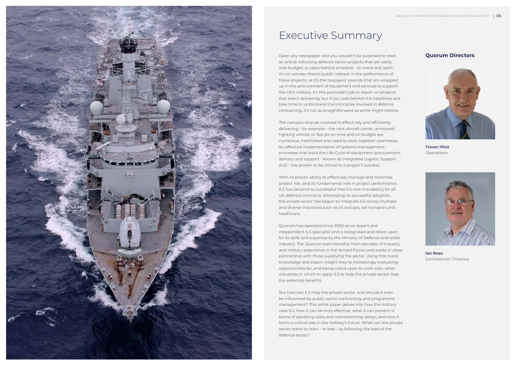

## Executive Summary

Open any newspaper and you wouldn't be surprised to read **Quorum Directors** an article criticising defence sector projects that are vastly over budget, or years behind schedule - or worse still, both. It's no wonder there's public interest in the performance of these projects, as it's the taxpayers' pounds that are wrapped up in the procurement of equipment and services to support the UK's military. It's the journalist's job to report on projects that aren't delivering, but if you look behind the headlines and take time to understand the intricacies involved in defence contracting, it's not as straightforward as some might believe.

The complex strands involved in effectively and efficiently delivering - for example - the next aircraft carrier, armoured fighting vehicle, or fast jet on time and on budget are numerous, interlinked and need to work together seamlessly. So, effective implementation of systems management processes that track the Life Cycle of equipment procurement, delivery and support - known as Integrated Logistic Support (ILS) - has proven to be critical to a project's success.

With its proven ability to effectively manage and minimise project risk, and its fundamental role in project performance, ILS has become so successful that it's now mandatory for all UK defence contracts. Witnessing its successful adoption, the private sector has begun to integrate ILS across multiple and diverse industries such as oil and gas, rail transport and healthcare.

Quorum has operated since 2000 as an expert and independent ILS specialist and is recognised and relied upon for its skills and expertise by the Ministry of Defence and wider industry. The Quorum team benefits from decades of industry and military experience in the Armed Forces and works in close partnership with those supplying the sector. Using first-hand knowledge and expert insight they're increasingly evaluating opportunities for, and being called upon to work with, other industries in which to apply ILS to help the private sector reap the potential benefits.

But how can ILS help the private sector, and should it even be influenced by public sector contracting and programme management? This white paper delves into how the military uses ILS, how it can be truly effective, what it can prevent in terms of spiralling costs and overwhelming delays, and how it forms a critical role in the military's future. What can the private sector stand to learn - or lose - by following the lead of the defence sector?

**Trevor Hirst** *Operations*



**Ian Rees** *Commercial / Finance*

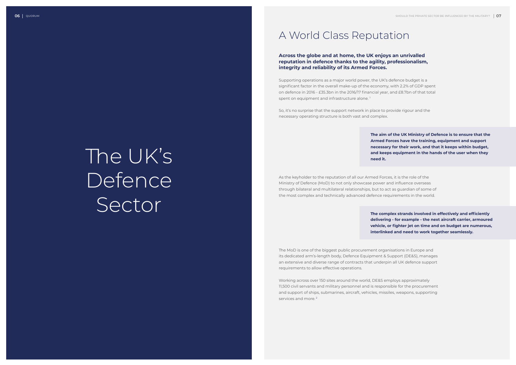#### A World Class Reputation

Supporting operations as a major world power, the UK's defence budget is a significant factor in the overall make-up of the economy, with 2.2% of GDP spent on defence in 2016 - £35.3bn in the 2016/17 financial year, and £8.7bn of that total spent on equipment and infrastructure alone.<sup>1</sup>

#### **Across the globe and at home, the UK enjoys an unrivalled reputation in defence thanks to the agility, professionalism, integrity and reliability of its Armed Forces.**

So, it's no surprise that the support network in place to provide rigour and the necessary operating structure is both vast and complex.

Working across over 150 sites around the world, DE&S employs approximately 11,500 civil servants and military personnel and is responsible for the procurement and support of ships, submarines, aircraft, vehicles, missiles, weapons, supporting services and more.<sup>2</sup>

As the keyholder to the reputation of all our Armed Forces, it is the role of the Ministry of Defence (MoD) to not only showcase power and influence overseas through bilateral and multilateral relationships, but to act as guardian of some of the most complex and technically advanced defence requirements in the world.

The MoD is one of the biggest public procurement organisations in Europe and its dedicated arm's-length body, Defence Equipment & Support (DE&S), manages an extensive and diverse range of contracts that underpin all UK defence support requirements to allow effective operations.

**The aim of the UK Ministry of Defence is to ensure that the Armed Forces have the training, equipment and support necessary for their work, and that it keeps within budget, and keeps equipment in the hands of the user when they**

- 
- 
- 

**need it.**

**The complex strands involved in effectively and efficiently delivering - for example - the next aircraft carrier, armoured vehicle, or fighter jet on time and on budget are numerous, interlinked and need to work together seamlessly.**

# The UK's Defence Sector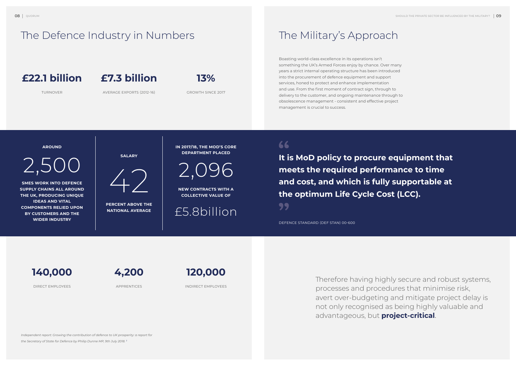**IN 2017/18, THE MOD'S CORE DEPARTMENT PLACED**

**NEW CONTRACTS WITH A COLLECTIVE VALUE OF**

**SALARY**

**PERCENT ABOVE THE NATIONAL AVERAGE**

#### The Defence Industry in Numbers

#### **AROUND**

2,500 / 2,096

**SMES WORK INTO DEFENCE SUPPLY CHAINS ALL AROUND THE UK, PRODUCING UNIQUE IDEAS AND VITAL COMPONENTS RELIED UPON BY CUSTOMERS AND THE WIDER INDUSTRY**



£5.8billion

#### 66

*Independent report: Growing the contribution of defence to UK prosperity: a report for the Secretary of State for Defence by Philip Dunne MP, 9th July 2018. 3*

# The Military's Approach

**It is MoD policy to procure equipment that meets the required performance to time and cost, and which is fully supportable at the optimum Life Cycle Cost (LCC).** 99

Boasting world-class excellence in its operations isn't something the UK's Armed Forces enjoy by chance. Over many years a strict internal operating structure has been introduced into the procurement of defence equipment and support services, honed to protect and enhance implementation and use. From the first moment of contract sign, through to delivery to the customer, and ongoing maintenance through to obsolescence management - consistent and effective project management is crucial to success.

> Therefore having highly secure and robust systems, processes and procedures that minimise risk, avert over-budgeting and mitigate project delay is not only recognised as being highly valuable and advantageous, but **project-critical**.

#### **£22.1 billion**

TURNOVER



GROWTH SINCE 2017

**140,000**

DIRECT EMPLOYEES



INDIRECT EMPLOYEES

**4,200**

APPRENTICES

DEFENCE STANDARD (DEF STAN) 00-600

# **£7.3 billion**

AVERAGE EXPORTS (2012-16)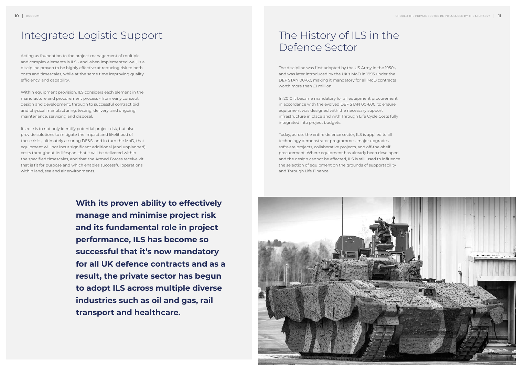# The History of ILS in the Defence Sector

The discipline was first adopted by the US Army in the 1950s, and was later introduced by the UK's MoD in 1993 under the DEF STAN 00-60, making it mandatory for all MoD contracts worth more than £1 million.

In 2010 it became mandatory for all equipment procurement in accordance with the evolved DEF STAN 00-600, to ensure equipment was designed with the necessary support infrastructure in place and with Through Life Cycle Costs fully integrated into project budgets.

Today, across the entire defence sector, ILS is applied to all technology demonstrator programmes, major upgrades, software projects, collaborative projects, and off-the-shelf procurement. Where equipment has already been developed and the design cannot be affected, ILS is still used to influence the selection of equipment on the grounds of supportability and Through Life Finance.



#### Integrated Logistic Support

Acting as foundation to the project management of multiple and complex elements is ILS - and when implemented well, is a discipline proven to be highly effective at reducing risk to both costs and timescales, while at the same time improving quality, efficiency, and capability.

Within equipment provision, ILS considers each element in the manufacture and procurement process - from early concept design and development, through to successful contract bid and physical manufacturing, testing, delivery, and ongoing maintenance, servicing and disposal.

Its role is to not only identify potential project risk, but also provide solutions to mitigate the impact and likelihood of those risks, ultimately assuring DE&S, and in turn the MoD, that equipment will not incur significant additional (and unplanned) costs throughout its lifespan, that it will be delivered within the specified timescales, and that the Armed Forces receive kit that is fit for purpose and which enables successful operations within land, sea and air environments.

> **With its proven ability to effectively manage and minimise project risk and its fundamental role in project performance, ILS has become so successful that it's now mandatory for all UK defence contracts and as a result, the private sector has begun to adopt ILS across multiple diverse industries such as oil and gas, rail transport and healthcare.**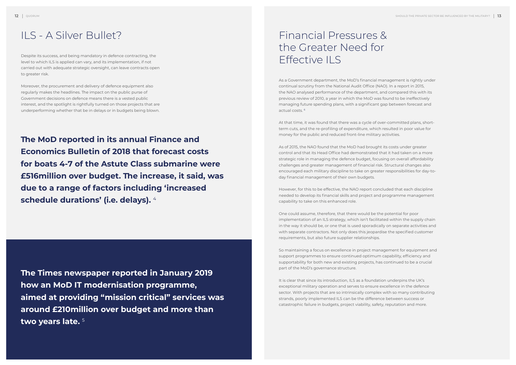#### Financial Pressures & the Greater Need for Effective ILS

As a Government department, the MoD's financial management is rightly under continual scrutiny from the National Audit Office (NAO). In a report in 2015, the NAO analysed performance of the department, and compared this with its previous review of 2010, a year in which the MoD was found to be ineffectively managing future spending plans, with a significant gap between forecast and actual costs. <sup>6</sup>

At that time, it was found that there was a cycle of over-committed plans, shortterm cuts, and the re-profiling of expenditure, which resulted in poor value for money for the public and reduced front-line military activities.

As of 2015, the NAO found that the MoD had brought its costs under greater control and that its Head Office had demonstrated that it had taken on a more strategic role in managing the defence budget, focusing on overall affordability challenges and greater management of financial risk. Structural changes also encouraged each military discipline to take on greater responsibilities for day-today financial management of their own budgets.

However, for this to be effective, the NAO report concluded that each discipline needed to develop its financial skills and project and programme management capability to take on this enhanced role.

One could assume, therefore, that there would be the potential for poor implementation of an ILS strategy, which isn't facilitated within the supply chain in the way it should be, or one that is used sporadically on separate activities and with separate contractors. Not only does this jeopardise the specified customer requirements, but also future supplier relationships.

So maintaining a focus on excellence in project management for equipment and support programmes to ensure continued optimum capability, efficiency and supportability for both new and existing projects, has continued to be a crucial part of the MoD's governance structure.

It is clear that since its introduction, ILS as a foundation underpins the UK's exceptional military operation and serves to ensure excellence in the defence sector. With projects that are so intrinsically complex with so many contributing strands, poorly implemented ILS can be the difference between success or catastrophic failure in budgets, project viability, safety, reputation and more.

#### ILS - A Silver Bullet?

Despite its success, and being mandatory in defence contracting, the level to which ILS is applied can vary, and its implementation, if not carried out with adequate strategic oversight, can leave contracts open to greater risk.

Moreover, the procurement and delivery of defence equipment also regularly makes the headlines. The impact on the public purse of Government decisions on defence means there is a vested public interest, and the spotlight is rightfully turned on those projects that are underperforming whether that be in delays or in budgets being blown.

**The MoD reported in its annual Finance and Economics Bulletin of 2018 that forecast costs for boats 4-7 of the Astute Class submarine were £516million over budget. The increase, it said, was due to a range of factors including 'increased schedule durations' (i.e. delays).** <sup>4</sup>

**The Times newspaper reported in January 2019 how an MoD IT modernisation programme, aimed at providing "mission critical" services was around £210million over budget and more than two years late.** <sup>5</sup>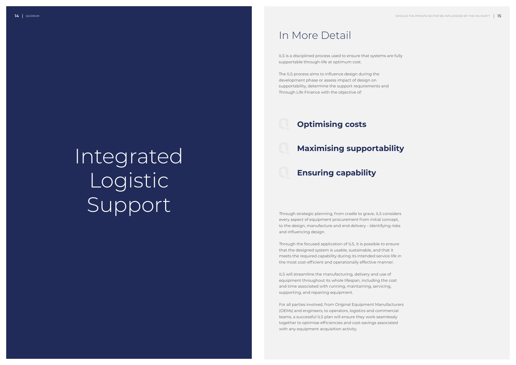#### In More Detail

ILS is a disciplined process used to ensure that systems are fully supportable through-life at optimum cost.

The ILS process aims to influence design during the development phase or assess impact of design on supportability, determine the support requirements and Through Life Finance with the objective of:

#### **Optimising costs**

# **Maximising supportability**

#### **Ensuring capability**

Through strategic planning, from cradle to grave, ILS considers every aspect of equipment procurement from initial concept, to the design, manufacture and end delivery - identifying risks and influencing design.

Through the focused application of ILS, it is possible to ensure that the designed system is usable, sustainable, and that it meets the required capability during its intended service life in the most cost-efficient and operationally effective manner.

ILS will streamline the manufacturing, delivery and use of equipment throughout its whole lifespan, including the cost and time associated with running, maintaining, servicing, supporting, and repairing equipment.

For all parties involved, from Original Equipment Manufacturers (OEMs) and engineers, to operators, logistics and commercial teams, a successful ILS plan will ensure they work seamlessly together to optimise efficiencies and cost-savings associated with any equipment acquisition activity.

# Integrated Logistic Support

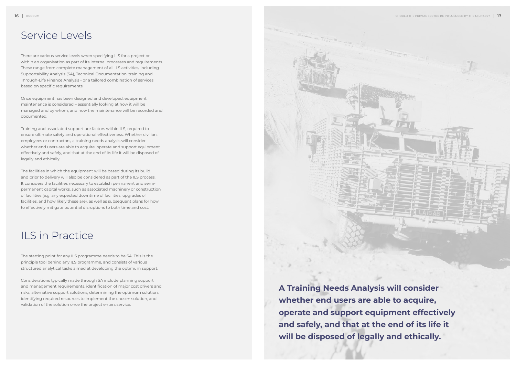#### Service Levels

#### ILS in Practice

There are various service levels when specifying ILS for a project or within an organisation as part of its internal processes and requirements. These range from complete management of all ILS activities, including Supportability Analysis (SA), Technical Documentation, training and Through-Life Finance Analysis - or a tailored combination of services based on specific requirements.

Once equipment has been designed and developed, equipment maintenance is considered – essentially looking at how it will be managed and by whom, and how the maintenance will be recorded and documented.

Training and associated support are factors within ILS, required to ensure ultimate safety and operational effectiveness. Whether civilian, employees or contractors, a training needs analysis will consider whether end users are able to acquire, operate and support equipment effectively and safely, and that at the end of its life it will be disposed of legally and ethically.

The facilities in which the equipment will be based during its build and prior to delivery will also be considered as part of the ILS process. It considers the facilities necessary to establish permanent and semipermanent capital works, such as associated machinery or construction of facilities (e.g. any expected downtime of facilities, upgrades of facilities, and how likely these are), as well as subsequent plans for how to effectively mitigate potential disruptions to both time and cost.

The starting point for any ILS programme needs to be SA. This is the principle tool behind any ILS programme, and consists of various structured analytical tasks aimed at developing the optimum support.

Considerations typically made through SA include planning support and management requirements, identification of major cost drivers and risks, alternative support solutions, determining the optimum solution, identifying required resources to implement the chosen solution, and validation of the solution once the project enters service.

**A Training Needs Analysis will consider whether end users are able to acquire, operate and support equipment effectively and safely, and that at the end of its life it will be disposed of legally and ethically.**

MARTIN-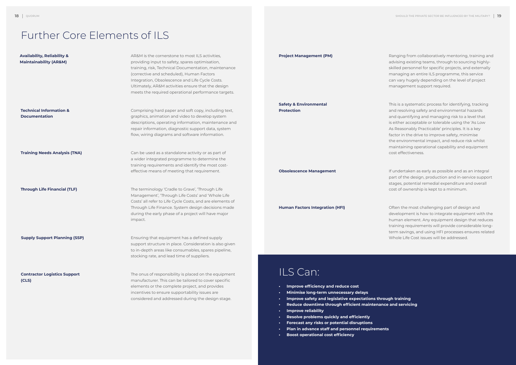#### Further Core Elements of ILS

| <b>Availability, Reliability &amp;</b><br><b>Maintainability (AR&amp;M)</b> | AR&M is the cornerstone to most ILS activities,<br>providing input to safety, spares optimisation,<br>training, risk, Technical Documentation, maintenance<br>(corrective and scheduled), Human Factors<br>Integration, Obsolescence and Life Cycle Costs.<br>Ultimately, AR&M activities ensure that the design<br>meets the required operational performance targets. | <b>Project Management (PM)</b>                                                                                                                                                                                   |
|-----------------------------------------------------------------------------|-------------------------------------------------------------------------------------------------------------------------------------------------------------------------------------------------------------------------------------------------------------------------------------------------------------------------------------------------------------------------|------------------------------------------------------------------------------------------------------------------------------------------------------------------------------------------------------------------|
| <b>Technical Information &amp;</b><br><b>Documentation</b>                  | Comprising hard paper and soft copy, including text,<br>graphics, animation and video to develop system<br>descriptions, operating information, maintenance and<br>repair information, diagnostic support data, system<br>flow, wiring diagrams and software information.                                                                                               | <b>Safety &amp; Environmental</b><br><b>Protection</b>                                                                                                                                                           |
| <b>Training Needs Analysis (TNA)</b>                                        | Can be used as a standalone activity or as part of<br>a wider integrated programme to determine the<br>training requirements and identify the most cost-<br>effective means of meeting that requirement.                                                                                                                                                                | <b>Obsolescence Management</b>                                                                                                                                                                                   |
| <b>Through Life Financial (TLF)</b>                                         | The terminology 'Cradle to Grave', 'Through Life<br>Management', 'Through Life Costs' and 'Whole Life<br>Costs' all refer to Life Cycle Costs, and are elements of<br>Through Life Finance. System design decisions made<br>during the early phase of a project will have major<br>impact.                                                                              | <b>Human Factors Integration (HFI)</b>                                                                                                                                                                           |
| <b>Supply Support Planning (SSP)</b>                                        | Ensuring that equipment has a defined supply<br>support structure in place. Consideration is also given<br>to in-depth areas like consumables, spares pipeline,<br>stocking rate, and lead time of suppliers.                                                                                                                                                           |                                                                                                                                                                                                                  |
| <b>Contractor Logistics Support</b><br>(CLS)                                | The onus of responsibility is placed on the equipment<br>manufacturer. This can be tailored to cover specific<br>elements or the complete project, and provides<br>incentives to ensure supportability issues are<br>considered and addressed during the design stage.                                                                                                  | ILS Can:<br>Improve efficiency and reduce cost<br>$\bullet$<br>Minimise long-term unnecessary delays<br>Improve safety and legislative expectations throug<br>٠<br>Reduce downtime through efficient maintenance |

Ranging from collaboratively mentoring, training and advising existing teams, through to sourcing highlyskilled personnel for specific projects, and externally managing an entire ILS programme, this service can vary hugely depending on the level of project management support required.

This is a systematic process for identifying, tracking and resolving safety and environmental hazards and quantifying and managing risk to a level that is either acceptable or tolerable using the 'As Low As Reasonably Practicable' principles. It is a key factor in the drive to improve safety, minimise the environmental impact, and reduce risk whilst maintaining operational capability and equipment cost effectiveness.

If undertaken as early as possible and as an integral part of the design, production and in-service support stages, potential remedial expenditure and overall cost of ownership is kept to a minimum.

Often the most challenging part of design and development is how to integrate equipment with the human element. Any equipment design that reduces training requirements will provide considerable longterm savings, and using HFI processes ensures related Whole Life Cost issues will be addressed.

**• Improve safety and legislative expectations through training • Reduce downtime through efficient maintenance and servicing**

- **• Improve reliability**
- **• Resolve problems quickly and efficiently**
- **• Forecast any risks or potential disruptions**
- **• Plan in advance staff and personnel requirements**
- **• Boost operational cost efficiency**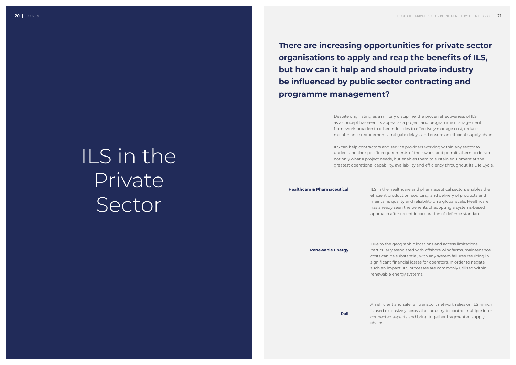# **There are increasing opportunities for private sector**

**organisations to apply and reap the benefits of ILS, but how can it help and should private industry be influenced by public sector contracting and programme management?**

> Despite originating as a military discipline, the proven effectiveness of ILS as a concept has seen its appeal as a project and programme management framework broaden to other industries to effectively manage cost, reduce maintenance requirements, mitigate delays, and ensure an efficient supply chain.

> ILS can help contractors and service providers working within any sector to understand the specific requirements of their work, and permits them to deliver not only what a project needs, but enables them to sustain equipment at the greatest operational capability, availability and efficiency throughout its Life Cycle.

**Healthcare & Pharmaceutical**

**Renewable Energy**

**Rail**

ILS in the healthcare and pharmaceutical sectors enables the efficient production, sourcing, and delivery of products and maintains quality and reliability on a global scale. Healthcare has already seen the benefits of adopting a systems-based approach after recent incorporation of defence standards.

Due to the geographic locations and access limitations particularly associated with offshore windfarms, maintenance costs can be substantial, with any system failures resulting in significant financial losses for operators. In order to negate such an impact, ILS processes are commonly utilised within renewable energy systems.

An efficient and safe rail transport network relies on ILS, which is used extensively across the industry to control multiple interconnected aspects and bring together fragmented supply chains.

# ILS in the Private Sector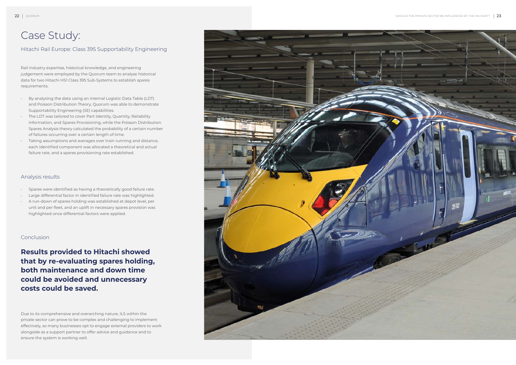#### Case Study:

#### Hitachi Rail Europe: Class 395 Supportability Engineering

Rail industry expertise, historical knowledge, and engineering judgement were employed by the Quorum team to analyse historical data for two Hitachi HS1 Class 395 Sub-Systems to establish spares requirements.

- By analysing the data using an internal Logistic Data Table (LDT) and Poisson Distribution Theory, Quorum was able to demonstrate Supportability Engineering (SE) capabilities.
- The LDT was tailored to cover Part Identity, Quantity, Reliability Information, and Spares Provisioning, while the Poisson Distribution Spares Analysis theory calculated the probability of a certain number of failures occurring over a certain length of time.
- Taking assumptions and averages over train running and distance, each identified component was allocated a theoretical and actual failure rate, and a spares provisioning rate established.

#### Analysis results

- Spares were identified as having a theoretically good failure rate.
- Large differential factor in identified failure rate was highlighted.
- A run-down of spares holding was established at depot level, per unit and per fleet, and an uplift in necessary spares provision was highlighted once differential factors were applied.

#### Conclusion

**Results provided to Hitachi showed that by re-evaluating spares holding, both maintenance and down time could be avoided and unnecessary costs could be saved.**

Due to its comprehensive and overarching nature, ILS within the private sector can prove to be complex and challenging to implement effectively, so many businesses opt to engage external providers to work alongside as a support partner to offer advice and guidance and to ensure the system is working well.

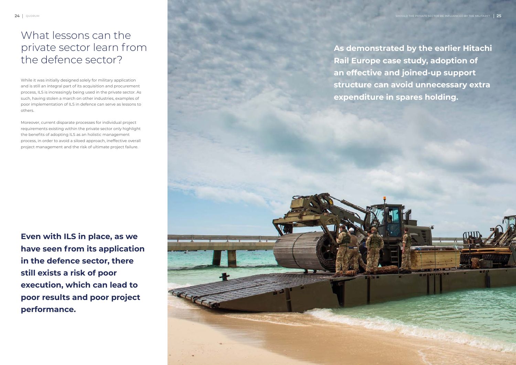## What lessons can the private sector learn from the defence sector?

While it was initially designed solely for military application and is still an integral part of its acquisition and procurement process, ILS is increasingly being used in the private sector. As such, having stolen a march on other industries, examples of poor implementation of ILS in defence can serve as lessons to others.

**As demonstrated by the earlier Hitachi Rail Europe case study, adoption of an effective and joined-up support structure can avoid unnecessary extra expenditure in spares holding.** CELE

Moreover, current disparate processes for individual project requirements existing within the private sector only highlight the benefits of adopting ILS as an holistic management process, in order to avoid a siloed approach, ineffective overall project management and the risk of ultimate project failure.

**Even with ILS in place, as we have seen from its application in the defence sector, there still exists a risk of poor execution, which can lead to poor results and poor project performance.**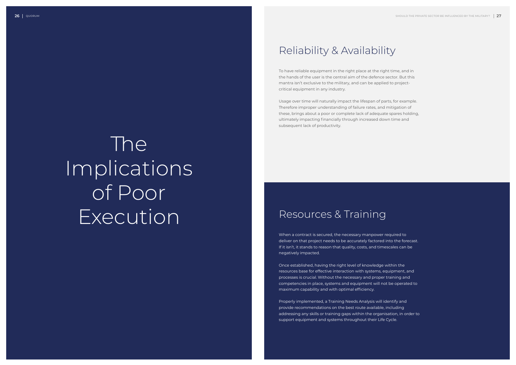# Reliability & Availability

# Resources & Training

To have reliable equipment in the right place at the right time, and in the hands of the user is the central aim of the defence sector. But this mantra isn't exclusive to the military, and can be applied to projectcritical equipment in any industry.

Usage over time will naturally impact the lifespan of parts, for example. Therefore improper understanding of failure rates, and mitigation of these, brings about a poor or complete lack of adequate spares holding, ultimately impacting financially through increased down time and subsequent lack of productivity.

When a contract is secured, the necessary manpower required to deliver on that project needs to be accurately factored into the forecast. If it isn't, it stands to reason that quality, costs, and timescales can be negatively impacted.

Once established, having the right level of knowledge within the resources base for effective interaction with systems, equipment, and processes is crucial. Without the necessary and proper training and competencies in place, systems and equipment will not be operated to maximum capability and with optimal efficiency.

Properly implemented, a Training Needs Analysis will identify and provide recommendations on the best route available, including addressing any skills or training gaps within the organisation, in order to support equipment and systems throughout their Life Cycle.

# The Implications of Poor Execution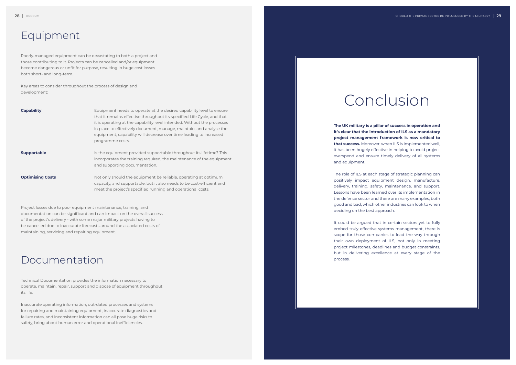### Equipment

#### Documentation

Poorly-managed equipment can be devastating to both a project and those contributing to it. Projects can be cancelled and/or equipment become dangerous or unfit for purpose, resulting in huge cost losses both short- and long-term.

Key areas to consider throughout the process of design and development:

Project losses due to poor equipment maintenance, training, and documentation can be significant and can impact on the overall success of the project's delivery - with some major military projects having to be cancelled due to inaccurate forecasts around the associated costs of maintaining, servicing and repairing equipment.

Technical Documentation provides the information necessary to operate, maintain, repair, support and dispose of equipment throughout its life.

Inaccurate operating information, out-dated processes and systems for repairing and maintaining equipment, inaccurate diagnostics and failure rates, and inconsistent information can all pose huge risks to safety, bring about human error and operational inefficiencies.

| <b>Capability</b>       | Equipment needs to operate at the desired capability level to ensure<br>that it remains effective throughout its specified Life Cycle, and that<br>it is operating at the capability level intended. Without the processes<br>in place to effectively document, manage, maintain, and analyse the<br>equipment, capability will decrease over time leading to increased<br>programme costs. |
|-------------------------|---------------------------------------------------------------------------------------------------------------------------------------------------------------------------------------------------------------------------------------------------------------------------------------------------------------------------------------------------------------------------------------------|
| <b>Supportable</b>      | Is the equipment provided supportable throughout its lifetime? This<br>incorporates the training required, the maintenance of the equipment,<br>and supporting documentation.                                                                                                                                                                                                               |
| <b>Optimising Costs</b> | Not only should the equipment be reliable, operating at optimum<br>capacity, and supportable, but it also needs to be cost-efficient and<br>meet the project's specified running and operational costs.                                                                                                                                                                                     |

It could be argued that in certain sectors yet to fully embed truly effective systems management, there is scope for those companies to lead the way through their own deployment of ILS, not only in meeting project milestones, deadlines and budget constraints, but in delivering excellence at every stage of the process.

**The UK military is a pillar of success in operation and it's clear that the introduction of ILS as a mandatory project management framework is now critical to that success.** Moreover, when ILS is implemented well, it has been hugely effective in helping to avoid project overspend and ensure timely delivery of all systems and equipment.

The role of ILS at each stage of strategic planning can positively impact equipment design, manufacture, delivery, training, safety, maintenance, and support. Lessons have been learned over its implementation in the defence sector and there are many examples, both good and bad, which other industries can look to when deciding on the best approach.

# Conclusion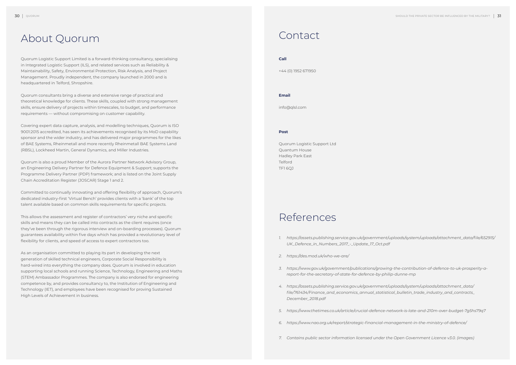# About Quorum Contact

#### References

Quorum Logistic Support Limited is a forward-thinking consultancy, specialising in Integrated Logistic Support (ILS), and related services such as Reliability & Maintainability, Safety, Environmental Protection, Risk Analysis, and Project Management. Proudly independent, the company launched in 2000 and is headquartered in Telford, Shropshire.

Quorum consultants bring a diverse and extensive range of practical and theoretical knowledge for clients. These skills, coupled with strong management skills, ensure delivery of projects within timescales, to budget, and performance requirements — without compromising on customer capability.

Covering expert data capture, analysis, and modelling techniques, Quorum is ISO 9001:2015 accredited, has seen its achievements recognised by its MoD capability sponsor and the wider industry, and has delivered major programmes for the likes of BAE Systems, Rheinmetall and more recently Rheinmetall BAE Systems Land (RBSL), Lockheed Martin, General Dynamics, and Miller Industries.

Quorum is also a proud Member of the Aurora Partner Network Advisory Group, an Engineering Delivery Partner for Defence Equipment & Support; supports the Programme Delivery Partner (PDP) framework; and is listed on the Joint Supply Chain Accreditation Register (JOSCAR) Stage 1 and 2.

Committed to continually innovating and offering flexibility of approach, Quorum's dedicated industry-first 'Virtual Bench' provides clients with a 'bank' of the top talent available based on common skills requirements for specific projects.

This allows the assessment and register of contractors' very niche and specific skills and means they can be called into contracts as the client requires (once they've been through the rigorous interview and on-boarding processes). Quorum guarantees availability within five days which has provided a revolutionary level of flexibility for clients, and speed of access to expert contractors too.

As an organisation committed to playing its part in developing the next generation of skilled technical engineers, Corporate Social Responsibility is hard-wired into everything the company does. Quorum is involved in education supporting local schools and running Science, Technology, Engineering and Maths (STEM) Ambassador Programmes. The company is also endorsed for engineering competence by, and provides consultancy to, the Institution of Engineering and Technology (IET), and employees have been recognised for proving Sustained High Levels of Achievement in business.

#### **Call**

+44 (0) 1952 671950

#### **Email**

info@qlsl.com

#### **Post**

Quorum Logistic Support Ltd Quantum House Hadley Park East **Telford** TF1 6QJ

*1. https://assets.publishing.service.gov.uk/government/uploads/system/uploads/attachment\_data/file/652915/*

- *UK\_Defence\_in\_Numbers\_2017\_-\_Update\_17\_Oct.pdf*
- *2. https://des.mod.uk/who-we-are/*
- *3. https://www.gov.uk/government/publications/growing-the-contribution-of-defence-to-uk-prosperity-areport-for-the-secretary-of-state-for-defence-by-philip-dunne-mp*
- *4. https://assets.publishing.service.gov.uk/government/uploads/system/uploads/attachment\_data/ file/761434/Finance\_and\_economics\_annual\_statistical\_bulletin\_trade\_industry\_and\_contracts\_ December\_2018.pdf*
- *5. https://www.thetimes.co.uk/article/crucial-defence-network-is-late-and-210m-over-budget-7g5hs79q7*
- *6. https://www.nao.org.uk/report/strategic-financial-management-in-the-ministry-of-defence/*
- *7. Contains public sector information licensed under the Open Government Licence v3.0. (images)*